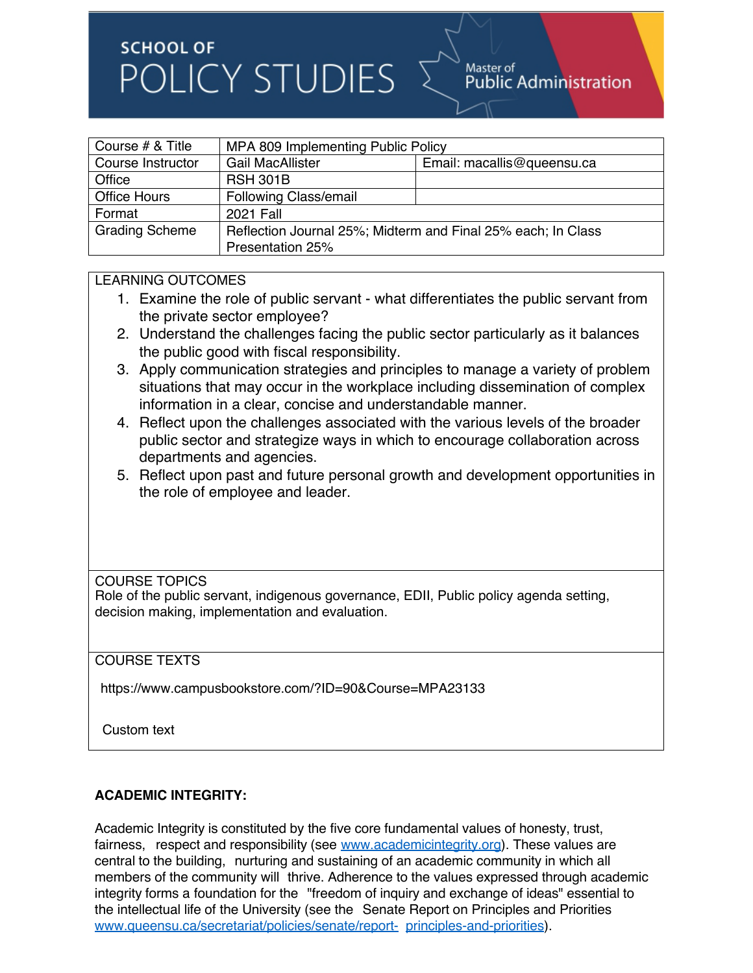# **SCHOOL OF** POLICY STUDIES

| Course # & Title      | MPA 809 Implementing Public Policy                           |                            |
|-----------------------|--------------------------------------------------------------|----------------------------|
| Course Instructor     | <b>Gail MacAllister</b>                                      | Email: macallis@queensu.ca |
| Office                | <b>RSH 301B</b>                                              |                            |
| <b>Office Hours</b>   | <b>Following Class/email</b>                                 |                            |
| Format                | 2021 Fall                                                    |                            |
| <b>Grading Scheme</b> | Reflection Journal 25%; Midterm and Final 25% each; In Class |                            |
|                       | Presentation 25%                                             |                            |

### LEARNING OUTCOMES

- 1. Examine the role of public servant what differentiates the public servant from the private sector employee?
- 2. Understand the challenges facing the public sector particularly as it balances the public good with fiscal responsibility.
- 3. Apply communication strategies and principles to manage a variety of problem situations that may occur in the workplace including dissemination of complex information in a clear, concise and understandable manner.
- 4. Reflect upon the challenges associated with the various levels of the broader public sector and strategize ways in which to encourage collaboration across departments and agencies.
- 5. Reflect upon past and future personal growth and development opportunities in the role of employee and leader.

COURSE TOPICS

Role of the public servant, indigenous governance, EDII, Public policy agenda setting, decision making, implementation and evaluation.

#### COURSE TEXTS

https://www.campusbookstore.com/?ID=90&Course=MPA23133

Custom text

#### **ACADEMIC INTEGRITY:**

Academic Integrity is constituted by the five core fundamental values of honesty, trust, fairness, respect and responsibility (see www.academicintegrity.org). These values are central to the building, nurturing and sustaining of an academic community in which all members of the community will thrive. Adherence to the values expressed through academic integrity forms a foundation for the "freedom of inquiry and exchange of ideas" essential to the intellectual life of the University (see the Senate Report on Principles and Priorities www.queensu.ca/secretariat/policies/senate/report- principles-and-priorities).